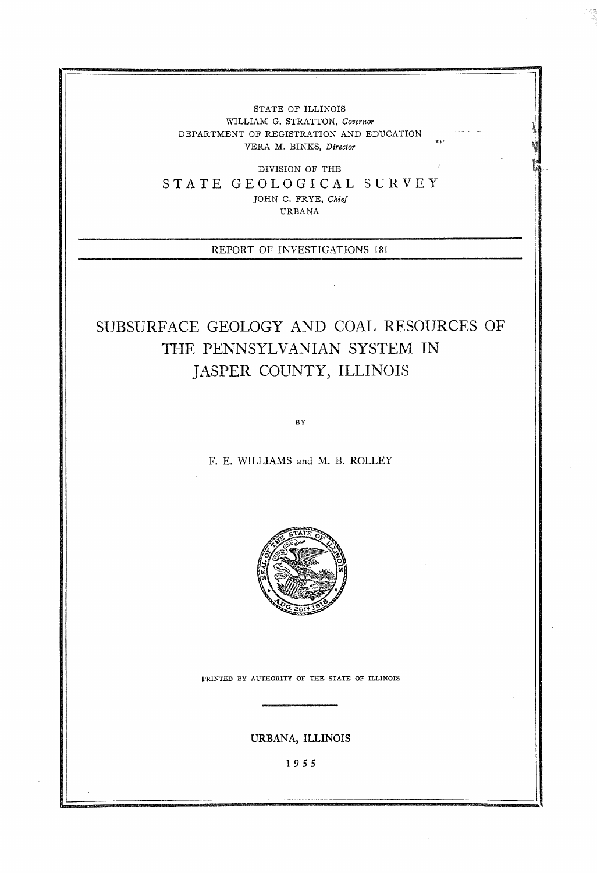STATE OF ILLINOIS WILLIAM G. STRATTON, *Governor*  DEPARTMENT OF REGISTRATION AND EDUCATION VERA M. BINKS, *Director* 

**\*I** '

DIVISION OF THE STATE GEOLOGICAL SURVEY JOHN C. FRYE, *Chief*  URBANA

REPORT OF INVESTIGATIONS 181

## SUBSURFACE GEOLOGY AND COAL RESOURCES OF THE PENNSYLVANIAN SYSTEM IN JASPER COUNTY, ILLINOIS

 $BY$ 

1;. E. WILLIAMS and M. **I3.** ROLLEY



**PRINTED BY AUTHORITY OF THE STATE OF ILLINOIS** 

**URBANA, ILLINOIS** 

**1955**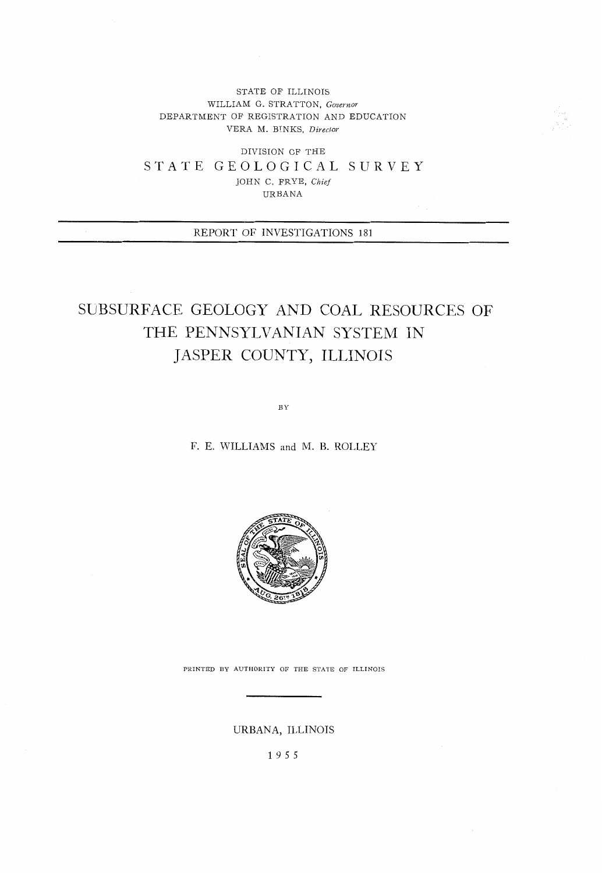STATE OF ILLINOIS WILLIAM G. STRATTON, *Governor*  DEPARTMENT OF REGISTRATION AND EDUCATION VERA M. BINKS, *Direclor* 

DIVISION OF THE STATE GEOLOGICAL SURVEY JOHN C. FRYE, *Chief*  URBANA

REPORT OF INVESTIGATIONS 181

## SUBSURFACE GEOLOGY AND COAL RESOURCES OF THE PENNSYLVANIAN SYSTEM IN JASPER COUNTY, ILLINOIS

 $\rm\,B\,Y$ 

F. E. WILLIAMS and M. B. ROLLEY



PRINTED BY AUTHORITY OF THE STATE OF ILLINOIS

URBANA, ILLINOIS

1955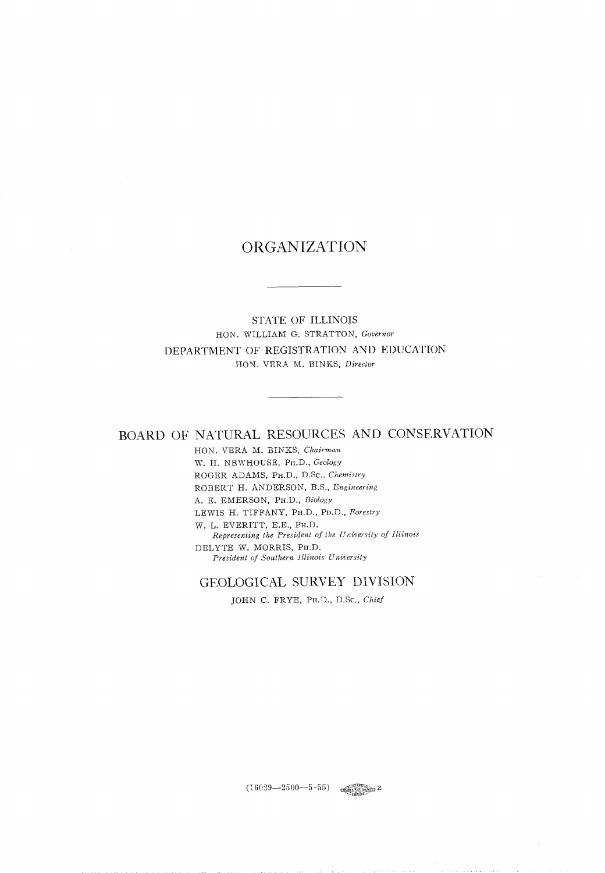## ORGANIZATION

STATE OF ILLINOIS HON. WILLIAM *G.* STRATTON, *Governor*  DEPARTMENT OF REGISTRATION AND EDUCATION HON. VERA M. BINKS, *Director* 

## BOARD OF NATURAL RESOURCES AND CONSERVATION

HON. VERA M. BINKS, *Chairman*  W. H. NEWHOUSE, PH.D., *Geology* ROGER ADAMS, PH.D., D.Sc., *Chernislry*  ROBERT H. ANDERSON, B.S., *Engineering*  A. E. EMERSON, PH.D., *Biology* LEWIS H. TIFFANY, Prr.D., PD.D., *Forestry*  W. L. EVERITT, E.E., PH.D.  $Representing$  the President of the University of Illinois DELYTE W. MORRIS, PH.D. *President of Southern Illinois University* 

### GEOLOGICAL SURVEY DIVISION

JOHN C. FRYE, Prr.D., D.Sc., *Chief* 

 $(16029 - 2500 - 5 - 55)$  expressed 2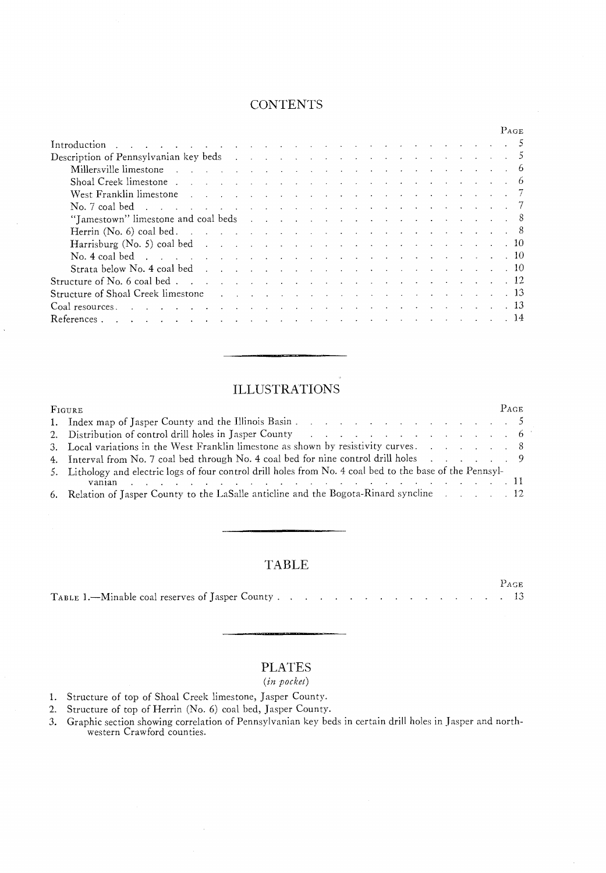## **CONTENTS**

|                                                                                                                                                                                                                                                                                                                                                                                                                                                                              |  |  |  |  |  |  |  |  |  |  | PAGE |
|------------------------------------------------------------------------------------------------------------------------------------------------------------------------------------------------------------------------------------------------------------------------------------------------------------------------------------------------------------------------------------------------------------------------------------------------------------------------------|--|--|--|--|--|--|--|--|--|--|------|
|                                                                                                                                                                                                                                                                                                                                                                                                                                                                              |  |  |  |  |  |  |  |  |  |  |      |
|                                                                                                                                                                                                                                                                                                                                                                                                                                                                              |  |  |  |  |  |  |  |  |  |  |      |
| Millersville limestone in the contract of the contract of the contract of the contract of the contract of the contract of the contract of the contract of the contract of the contract of the contract of the contract of the                                                                                                                                                                                                                                                |  |  |  |  |  |  |  |  |  |  |      |
| Shoal Creek limestone.                                                                                                                                                                                                                                                                                                                                                                                                                                                       |  |  |  |  |  |  |  |  |  |  |      |
|                                                                                                                                                                                                                                                                                                                                                                                                                                                                              |  |  |  |  |  |  |  |  |  |  |      |
|                                                                                                                                                                                                                                                                                                                                                                                                                                                                              |  |  |  |  |  |  |  |  |  |  |      |
|                                                                                                                                                                                                                                                                                                                                                                                                                                                                              |  |  |  |  |  |  |  |  |  |  |      |
| Herrin (No. 6) coal bed. $\ldots$ $\ldots$ $\ldots$ $\ldots$ $\ldots$ $\ldots$ $\ldots$ $\ldots$ $\ldots$ $\ldots$ $\ldots$                                                                                                                                                                                                                                                                                                                                                  |  |  |  |  |  |  |  |  |  |  |      |
|                                                                                                                                                                                                                                                                                                                                                                                                                                                                              |  |  |  |  |  |  |  |  |  |  |      |
|                                                                                                                                                                                                                                                                                                                                                                                                                                                                              |  |  |  |  |  |  |  |  |  |  |      |
|                                                                                                                                                                                                                                                                                                                                                                                                                                                                              |  |  |  |  |  |  |  |  |  |  |      |
|                                                                                                                                                                                                                                                                                                                                                                                                                                                                              |  |  |  |  |  |  |  |  |  |  |      |
| Structure of Shoal Creek limestone and the contract of the state of Shoal Creek limestone and the contract of the contract of the contract of the contract of the contract of the contract of the contract of the contract of                                                                                                                                                                                                                                                |  |  |  |  |  |  |  |  |  |  |      |
| Coal resources $\therefore$ $\therefore$ $\therefore$ $\therefore$ $\therefore$ $\therefore$ $\therefore$ $\therefore$ $\therefore$ $\therefore$ $\therefore$ $\therefore$ $\therefore$ $\therefore$ $\therefore$ $\therefore$ $\therefore$ $\therefore$ $\therefore$ $\therefore$ $\therefore$ $\therefore$ $\therefore$ $\therefore$ $\therefore$ $\therefore$ $\therefore$ $\therefore$ $\therefore$ $\therefore$ $\therefore$ $\therefore$ $\therefore$ $\therefore$ $\$ |  |  |  |  |  |  |  |  |  |  |      |
| . The contract of the contract of the contract of the contract of the contract of $14$<br>References.                                                                                                                                                                                                                                                                                                                                                                        |  |  |  |  |  |  |  |  |  |  |      |

## ILLUSTRATIONS

| FIGURE                                                                                                          | $P_{AGE}$ |  |
|-----------------------------------------------------------------------------------------------------------------|-----------|--|
|                                                                                                                 |           |  |
| 2. Distribution of control drill holes in Jasper County (2008) (2008) (2008) (2008) (2008) (2008) (2008) (2008) |           |  |
| 3. Local variations in the West Franklin limestone as shown by resistivity curves. 8                            |           |  |
| 4. Interval from No. 7 coal bed through No. 4 coal bed for nine control drill holes 9                           |           |  |
| 5. Lithology and electric logs of four control drill holes from No. 4 coal bed to the base of the Pennsyl-      |           |  |
| and the company of the company of the company of the company of the company of $\mathbf{R}$<br>vanian           |           |  |
| 6. Relation of Jasper County to the LaSalle anticline and the Bogota-Rinard syncline 12                         |           |  |

## TABLE

PAGE TABLE 1.-Minable coal reserves of Jasper County ................ 13

## PLATES

#### **(in** *pocket)*

- 1. Structure of top of Shoal Creek limestone, Jasper County.
- 2. Structure of top of Herrin (No. 6) coal bed, Jasper County.
- **3** . Graphic section showing correlation of Pennsylvanian key beds in certain drill holes in Jasper and northwestern Crawford counties.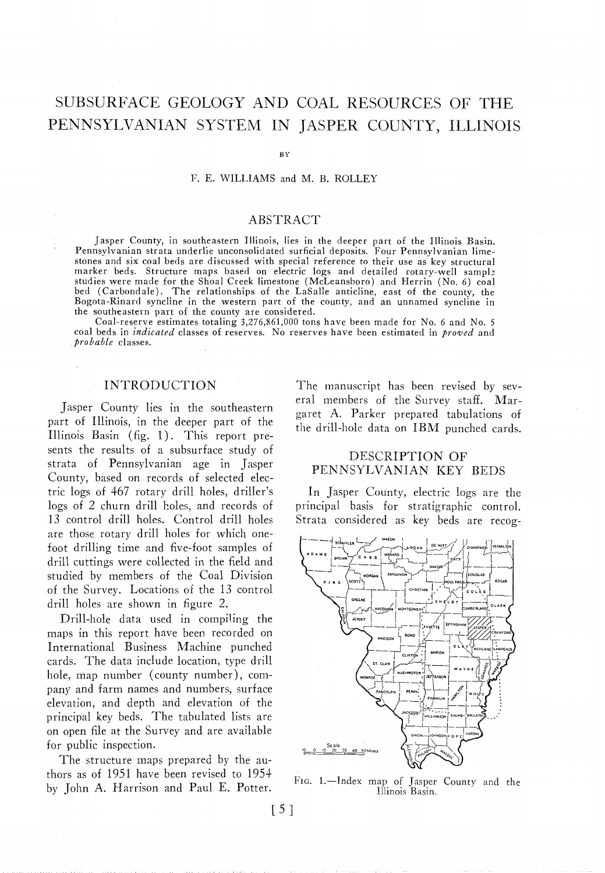## SUBSURFACE GEOLOGY AND COAL RESOURCES OF THE PENNSYLVANIAN SYSTEM IN JASPER COUNTY, ILLINOIS

 $RV$ 

F. E. WILLIAMS and M. B. ROLLEY

#### ABSTRACT

Jasper County, in southeastern Illinois, lies in the deeper part of the Illinois Basin. Pennsylvanian strata underlie unconsolidated surficial deposits. Four Pennsylvanian limestones and six coal beds are discussed with special reference to their use as key structural marker beds. Structure maps based on electric logs and detailed rotary-well sampl: studies were made for the Shoal Creek limestone (McLeansboro) and Herrin (No. 6) coal bed (Carbondale). The relationships of the LaSalle anticline, east of the county, the Bogota-Rinard syncline in the western part of the county, and an unnamed syncline in the southeastern part of the county are considered.

Coal-reserve estimates totaling 3,276,861,000 tons have been made for No. 6 and No. 5 coal beds in *indicatrd* classes of reserves. No reserves have been estimated in *prowed* and *probable* classes.

#### INTRODUCTION

Jasper County lies in the southeastern part of Illinois, in the deeper part of the Illinois Basin (fig. 1). This report presents the results of a subsurface study of strata of Pennsylvanian age in Jasper County, based on records of selected electric logs of 467 rotary drill holes, driller's logs of 2 churn drill holes, and records of 13 control drill holes. Control drill holes are those rotary drill holes for which onefoot drilling time and five-foot samples of drill cuttings were collected in the field and studied by members of the Coal Division of the Survey. Locations of the 13 control drill holes are shown in figure 2.

Drill-hole data used in compiling the maps in this report have been recorded on International Business Machine punched cards. The data include location, type drill hole, map number (county number), company and farm names and numbers, surface elevation, and depth and elevation of the principal key beds. The tabulated lists are on open file at the Survey and are available for public inspection.

The structure maps prepared by the authors as of 1951 have been revised to 1954 by John A. Harrison and Paul E. Potter.

The manuscript has been revised by several members of the Survey staff. Margaret A. Barker prepared tabulations of the drill-hole data on IBM punched cards.

#### DESCRIPTION OF PENNSYLVANIAN KEY BEDS

In Jasper County, electric logs are thc principal basis for stratigraphic control. Strata considered as key beds are recog-



FIG. 1.-Index map of Jasper County and the Illinois Basin.

 $\lceil 5 \rceil$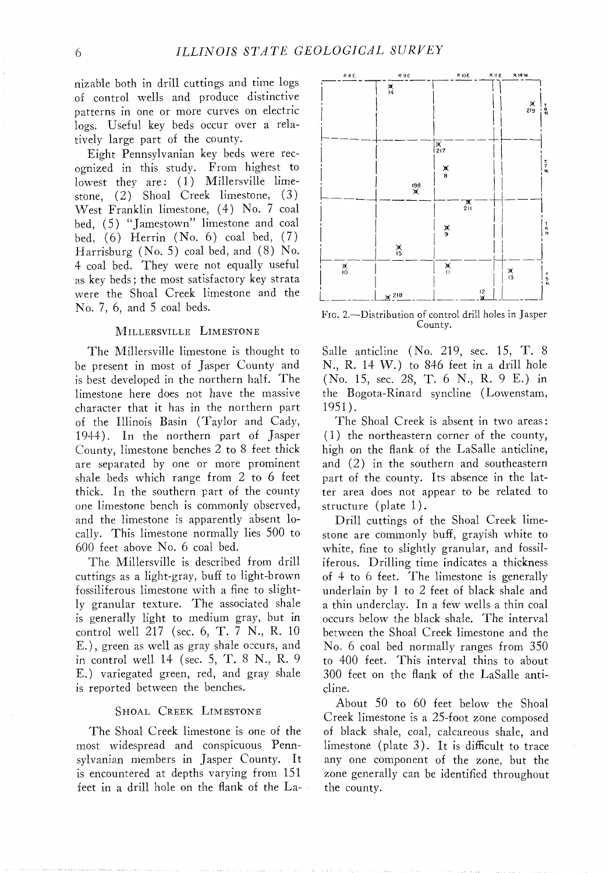nizable both in drill cuttings and time logs of control wells and produce distinctive patterns in one or more curves on electric logs. Useful key beds occur over a relatively large part of the county.

Eight Pennsylvanian key beds were recognized in this study. From highest to lowest they are: (1) Millersville limestone, (2) Shoal Creek limestone, (3) West Franklin limestone, (4) No. 7 coal bed, (5) "Jamestown" limestone and coal bed,  $(6)$  Herrin  $(No, 6)$  coal bed,  $(7)$ Harrisburg (No. 5) coal bed, and (8) No. 4 coal bed. They were not equally useful as key beds; the most satisfactory key strata were the Shoal Creek limestone and the No. 7, 6, and 5 coal beds.

#### MILLERSVILLE LIMESTONE

The Millersville limestone is thought to be present in most of Jasper County and is best developed in the northern half. The limestone here does not have the massive character that it has in the northern part of the Illinois Basin (Taylor and Cady, 1944). In the northern part of Jasper County, limestone benches 2 to 8 feet thick are separated by one or more prominent shale beds which range from 2 to 6 feet thick. In the southern part of the county one limestone bench is commonly observed, and the limestone is apparently absent locally. This limestone normally lies 500 to 600 feet above No. 6 coal bed.

The Millersville is described from drill cuttings as a light-gray, buff to light-brown fossiliferous limestone with a fine to slightly granular texture. The associated shale is generally light to medium gray, but in control well 217 (sec. 6, T. 7 N., R. 10 E.), green as well as gray shale occurs, and in control well I4 (sec. 5, T. 8 N., R. 9 E.) variegated green, red, and gray shale is reported between the benches.

#### SHOAL CREEK LIMESTONE

The Shoal Creek limestone is one of the most widespread and conspicuous Pennsylvanian members in Jasper County. It is encountered at depths varying from 151 feet in a drill hole on the flank of the La-



FIG. 2.-Distribution of control drill holes in Jasper County.

Salle anticline (No. 219, sec. 15, T. 8 N., R. 14 W.) to 846 feet in a drill hole (No. 15, sec. 28, T. 6 N., R. 9 E.) in the Bogota-Rinard syncline (Lowenstam, 1951).

The Shoal Creek is absent in two areas: (1 ) the northeastern corner of the county, high on the flank of the LaSalle anticline, and (2) in the southern and southeastern part of the county. Its absence in the latter area does not appear to be related to structure (plate  $1$ ).

Drill cuttings of the Shoal Creek limestone are commonly buff, grayish white to white, fine to slightly granular, and fossiliferous. Drilling time indicates a thickness of 4 to 6 feet. The limestone is generally underlain by 1 to 2 feet of black shale and a thin underclay. In a few wells a thin coal occurs below the black shale. The interval between the Shoal Creek limestone and the No. 6 coal bed normally ranges from 350 to 400 feet. This interval thins to about 300 feet on the flank of the LaSalle anticline.

About 50 to 60 feet below the Shoal Creek limestone is a 25-foot zone composed of black shale, coal, caIcareous shale, and limestone (plate 3). It is difficult to trace any one component of the zone, but the zone generally can be identified throughout the county.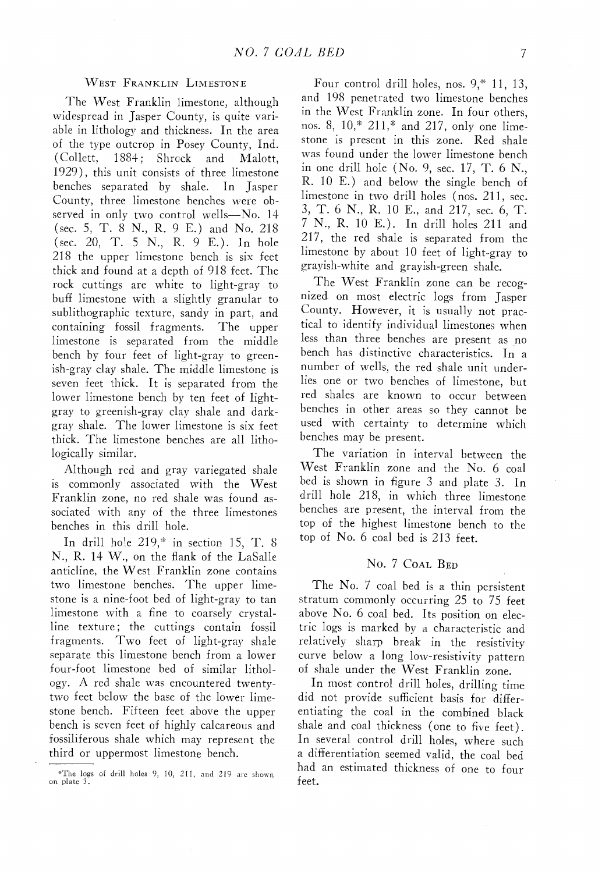#### WEST FRANKLIN LIMESTONE

The West Franklin limestone, although widespread in Jasper County, is quite variable in lithology and thickness. In the area of the type outcrop in Posey County, Ind. (Collett, 1884; Shrock and Malott, 1929), this unit consists of three limestone benches separated by shale. In Jasper County, three limestone benches were observed in only two control wells-No. 14 (sec. 5, T. 8 N., R. 9 E.) and No. 218 (sec. 20, T. 5 N., R. 9 E.). In hole 218 the upper limestone bench is six feet thick and found at a depth of 918 feet. The rock cuttings are white to light-gray to buff limestone with a slightly granular to sublithographic texture, sandy in part, and containing fossil fragments. The upper limestone is separated from the middle bench by four feet of light-gray to greenish-gray clay shale. The middle limestone is seven feet thick. It is separated from the lower limestone bench by ten feet of lightgray to greenish-gray clay shale and darkgrap shale. The lower limestone is six feet thick. The limestone benches are all lithologically similar.

Although red and grap variegated shale is commonly associated with the West Franklin zone, no red shale was found associated with any of the three limestones benches in this drill hole.

In drill hole  $219$ ,\* in section 15, T. 8 N., R. 14 W., on the flank of the LaSalle anticline, the West Franklin zone contains two limestone benches. The upper limestone is a nine-foot bed of light-gray to tan limestone with a fine to coarsely crystalline texture; the cuttings contain fossil fragments. Two feet of light-gray shale separate this limestone bench from a lower four-foot limestone bed of similar lithology. A red shale was encountered twentytwo feet below the base of the lower limestone bench. Fifteen feet above the upper bench is seven feet of highly calcareous and fossiliferous shale which may represent the third or uppermost limestone bench.

Four control drill holes, nos. 9,\* 11, 13, and 198 penetrated two limestone benches in the West Franklin zone. In four others, nos. 8,  $10$ ,\*  $211$ ,\* and  $217$ , only one limestone is present in this zone. Red shale was found under the lower limestone bench in one drill hole (No. 9, sec. 17, T. 6 N., R. 10 E.) and below the single bench of limestone in two drill holes (nos. 211, sec. 3, T. 6 N., R. 10 E., and 217, sec. 6, T. *7* N., R. 10 E.). In drill holes 211 and 217, the red shale is separated from the limestone by about 10 feet of light-gray to grayish-white and grayish-green shale.

The West Franklin zone can be recognized on most electric logs from Jasper County. However, it is usually not practical to identify individual limestones when less than three benches are present as no bench has distinctive characteristics. In a number of wells, the red shale unit underlies one or two benches of limestone, but red shales are known to occur between benches in other areas so they cannot be used with certainty to determine which benches may be present.

The variation in interval between the West Franklin zone and the No. 6 coal bed is shown in figure 3 and plate 3. In drill hole 218, in which three limestone benches are present, the interval from the top of the highest limestone bench to the top of No. 6 coal bed is 213 feet.

#### No. 7 COAL BED

The No. 7 coal bed is a thin persistent stratum commonly occurring  $25$  to  $75$  feet above No. 6 coal bed. Its position on electric logs is marked by a characteristic and relatively sharp break in the resistivity curve below a long low-resistivity pattern of shale under the West Franklin zone.

In most control drill holes, drilling time did not provide sufficient basis for differentiating the coal in the combined black shale and coal thickness (one to five feet). In several control drill holes, where such a differentiation seemed valid, the coal bed had an estimated thickness of one to four feet.

<sup>\*</sup>The logs of drill holes 9, 10, 211, and 219 are shown on plate 3.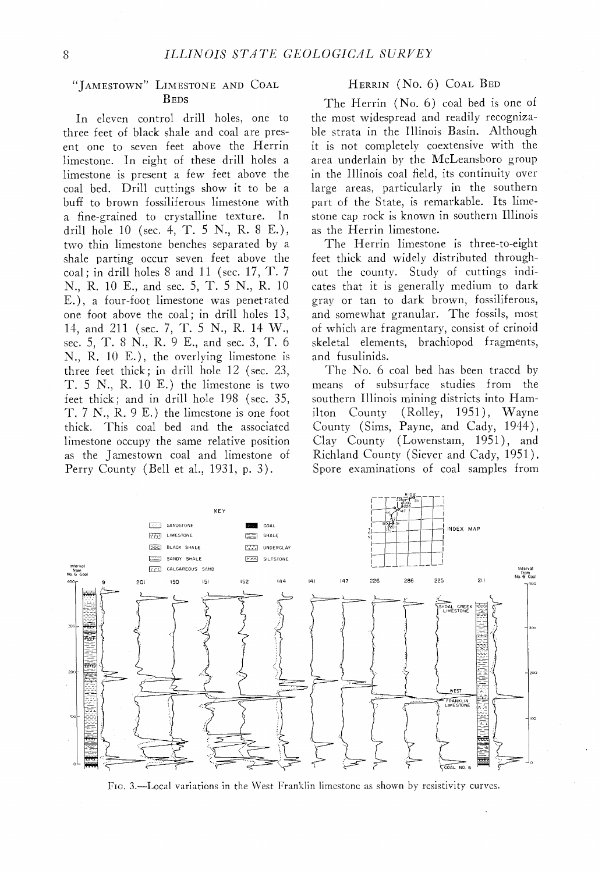# "IAMESTOWN" LIMESTONE AND COAL

In eleven control drill holes, one to three feet of black shale and coal are pres- ble strata in the Illinois Basin. Although ent one to seven feet above the Herrin limestone. In eight of these drill holes a limestone is present a few feet above the coal bed. Drill cuttings show it to be a bufi to brown fossiliferous limestone with a fine-grained to crystalline texture. In drill hole 10 (sec. 4, T. 5 N., R. 8 E.), two thin limestone benches separated by a shale parting occur seven feet above the coal; in drill holes 8 and 11 (sec. 17, T. 7 N., R. 10 E., and sec. 5, T. 5 N., R. 10 E.), a four-foot limestone was penetrated one foot above the coal; in drill holes 13, 11, and 211 (sec. *7,* T. 5 N., R. 11 W., sec. 5, T. 8 N., K. 9 E., and sec. 3, T. 6 N., R. 10 E.), the overlying limestone is three feet thick; in drill hole 12 (sec. 23, T. 5 N., R. 10 E.) the limestone is two feet thick; and in drill hole 198 (sec. 35, T. 7 N., K. 9 E.) the limestone is one foot thick. This coal bed and the associated limestone occupy the same relative position Clay County (Lowenstam, 1951), and as the Jamestown coal and limestone of Kichland County (Siever and Cady, 1951). Perry County (Bell et al., 1931, p. 3). Spore examinations of coal samples from

#### HERRIN (No. 6) COAL BED

BEDS The Herrin (No. 6) coal bed is one of<br>rol drill holes, one to the most widespread and readily recognizait is not completely coextensive with the area underlain by the McLeansboro group in the Illinois coal field, its continuity over large areas, particularly in the southern part of the State, is remarkable. Its limestone cap rock is known in southern Illinois as the Merrin limestone.

> The Herrin limestone is three-to-eight feet thick and widely distributed throughout the county. Study of cuttings indicates that it is generally medium to dark gray or tan to dark brown, fossiliferous, and somewhat granular. The fossils, most of which are fragmentary, consist of crinoid skeletal elements, brachiopod fragments, and fusulinids.

> The No. 6 coal bed has been traced by means of subsurface studies from the southern Illinois mining districts into Hamilton County (Rolley, 1951), Wayne County (Sims, Payne, and Cady, 1944),



FIG. 3.-Local variations in the West Franklin limestone as shown by resistivity curves.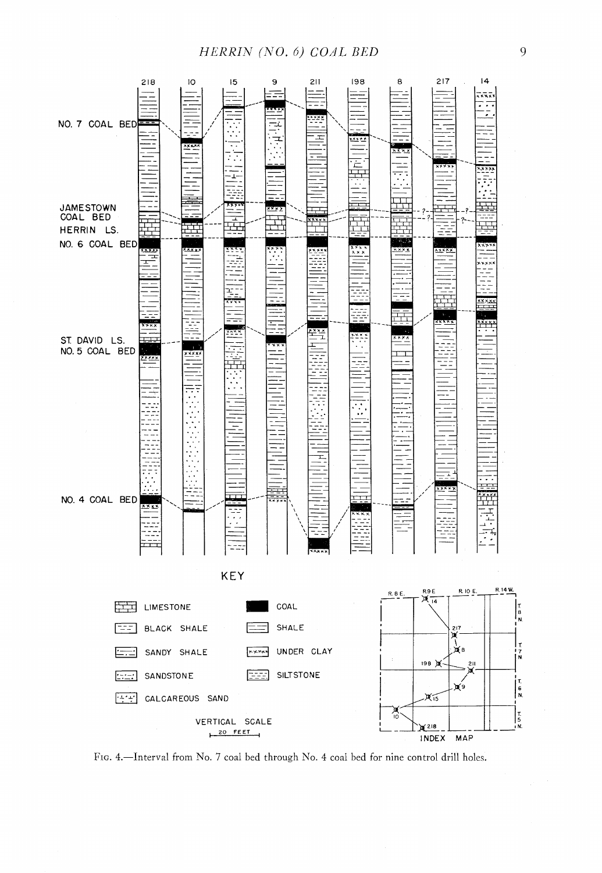### *HERRIN (NO. 6) COAL BED*



FIG. 4.-Interval from No. 7 coal bed through No. 4 coal bed for nine control drill holes.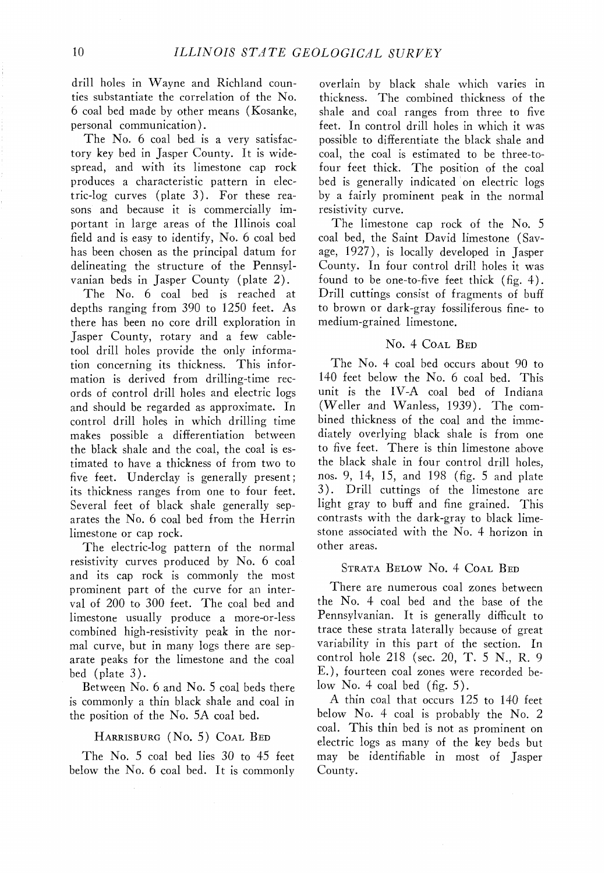drill holes in Wayne and Richland counties substantiate the correlation of the No. 6 coal bed made by other means (Kosanke, personal communication).

The No. 6 coal bed is a very satisfactory key bed in Jasper County. It is widespread, and with its limestone cap rock produces a characteristic pattern in electric-log curves (plate 3). For these reasons and because it is commercially important in large areas of the Illinois coal field and is easy to identify, No. 6 coal bed has been chosen as the principal datum for delineating the structure of the Pennsylvanian beds in Jasper County (plate 2).

The No. 6 coal bed is reached at depths ranging from 390 to 1250 feet. As there has been no core drill exploration in Jasper County, rotary and a few cabletool drill holes provide the only information concerning its thickness. This information is derived from drilling-time records of control drill holes and electric logs and should be regarded as approximate. In control drill holes in which drilling time makes possible a differentiation between the black shale and the coal, the coal is estimated to have a thickness of from two to five feet. Underclay is generally present; its thickness ranges from one to four feet. Several feet of black shale generally separates the No. 6 coal bed from the Herrin limestone or cap rock.

The electric-log pattern of the normal resistivity curves produced by No. 6 coal and its cap rock is commonly the most prominent part of the curve for an interval of 200 to 300 feet. The coal bed and limestone usually produce a more-or-less combined high-resistivity peak in the normal curve, but in many logs there are separate peaks for the limestone and the coal bed (plate 3).

Between No. 6 and No. 5 coal beds there is commonly a thin black shale and coal in the position of the No. 5A coal bed.

#### HARRISBURG (No. 5) COAL BED

The No. 5 coal bed lies 30 to 45 feet below the No. 6 coal bed. It is commonly

overlain by black shale which varies in thickness. The combined thickness of the shale and coal ranges from three to five feet. In control drill holes in which it was possible to differentiate the black shale and coal, the coal is estimated to be three-tofour feet thick. The position of the coal bed is generally indicated on electric logs by a fairly prominent peak in the normal resistivity curve.

The limestone cap rock of the No. 5 coal bed, the Saint David limestone (Savage, 1927), is locally developed in Jasper County. In four control drill holes it was found to be one-to-five feet thick (fig. 4). Drill cuttings consist of fragments of buff to brown or dark-gray fossiliferous fine- to medium-grained limestone.

#### No. 4 COAL BED

The No. 4 coal bed occurs about 90 to 140 feet below the No. 6 coal bed. This unit is the IV-A coal bed of Indiana (Weller and Wanless, 1939). The combined thickness of the coal and the immediately overlying black shale is from one to five feet. There is thin limestone above the black shale in four control drill holes, nos. 9, 14, 15, and 198 (fig. 5 and plate 3). Drill cuttings of the limestone are light gray to buff and fine grained. This contrasts with the dark-gray to black limestone associated with the No. 4 horizon in other areas.

#### STRATA BELOW No. 4 COAL BED

There are numerous coal zones between the No. 4 coal bed and the base of the Pennsylvanian. It is generally difficult to trace these strata laterally because of great variability in this part of the section. In control hole 218 (sec. 20, T. 5 N., K. 9 E.), fourteen coal zones were recorded below No. 4 coal bed  $(f_1g_2, 5)$ .

A thin coal that occurs 125 to 140 feet below No. 4 coal is probably the No. 2 coal. This thin bed is not as prominent on electric logs as many of the key beds but may be identifiable in most of Jasper County.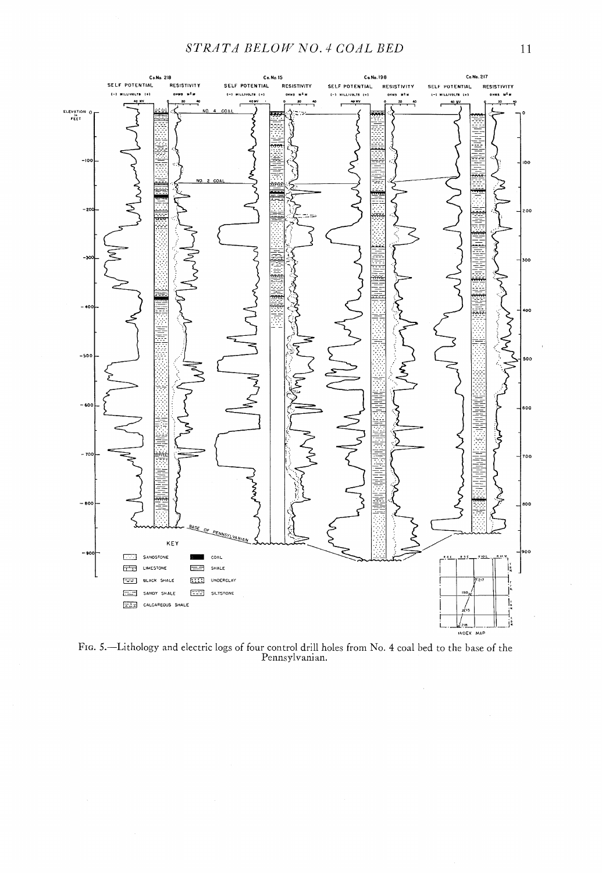

FIG. 5.—Lithology and electric logs of four control drill holes from No. 4 coal bed to the base of the Pennsylvanian.

 $\hat{\mathcal{A}}$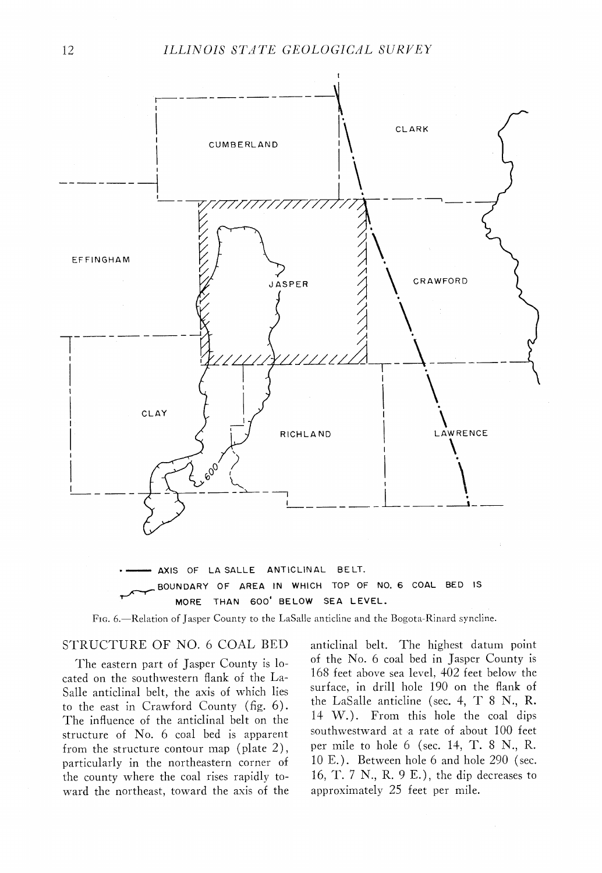

MORE THAN 600' BELOW SEA LEVEL.

FIG. 6.-Relation of Jasper County to the LaSalle anticline and the Bogota-Rinard syncline.

#### STRUCTURE OF NO. 6 COAL BED

The eastern part of Jasper County is located on the southwestern flank of the La-Salle anticlinal belt, the axis of which lies to the east in Crawford County (fig. 6). The influence of the anticlinal belt on the structure of No. 6 coal bed is apparent from the structure contour map (plate 2), particularly in the northeastern corner of the county where the coal rises rapidly toward the northeast, toward the axis of the anticlinal belt. The highest datum point of the No. 6 coal bed in Jasper County is 168 feet above sea level, 402 feet below the surface, in drill hole 190 on the flank of the LaSalle anticline (sec. 4, T 8 N., R. 14 W.). From this hole the coal dips southwestward at a rate of about 100 feet per mile to hole 6 (sec. 14, T. 8 N., R. 10 E.). Between hole 6 and hole 290 (sec. 16, T. *7* N., R. 9 E.), the dip decreases to approximately 25 feet per mile.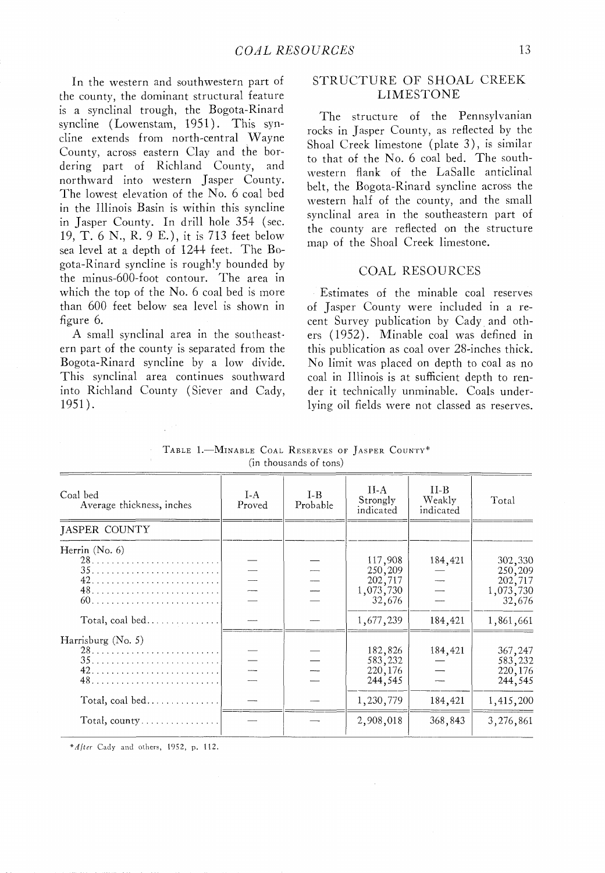In the western and southwestern part of the county, the dominant structural feature is a synclinal trough, the Bogota-Rinard syncline (Lowenstam, 1951). This syncline extends from north-central Wayne County, across eastern Clay and the bordering part of Richland County, and northward into western Jasper County. The lowest elevation of the No. 6 coal bed in the Illinois Basin is within this syncline in Jasper County. In drill hole 354 (sec. 19, T. 6 N., K. 9 E.), it is 713 feet below sea level at a depth of 1244 feet. The Bagota-Rinard syncline is roughly bounded by the minus-600-foot contour. The area in which the top of the No. 6 coal bed is more than 600 feet below sea level is shown in figure 6.

A small synclinal area in the southeastern part of the county is separated from the Bogota-Rinard syncline by a low divide. This synclinal area continues southward into Richland County (Siever and Cady, 1951).

#### STRUCTURE OF SHOAL CREEK LIMESTONE

The structure of the Pennsylvanian rocks in Jasper County, as reflected by the Shoal Creek limestone (plate 3), is similar to that of the No. 6 coal bed. The southwestern flank of the LaSalle anticlinal belt, the Bogota-Rinard syncline across the western half of the county, and the small synclinal area in the southeastern part of the county are reflected on the structure map of the Shoal Creek limestone.

#### COAL RESOURCES

Estimates of the minable coal reserves of Jasper County were included in a recent Survey publication by Cady and others (1952). Minable coal was defined in this publication as coal over 28-inches thick. No limit was placed on depth to coal as no coal in Illinois is at sufficient depth to render it technically unminable. Coals underlying oil fields were not classed as reserves.

TABLE 1.-MINABLE COAL RESERVES OF JASPER COUNTY\* (in thousands of tons)

| Coal bed<br>Average thickness, inches                | $I-A$<br>Proved | $I - B$<br>Probable | II-A<br>Strongly<br>indicated                        | $II-B$<br>Weakly<br>indicated | Total                                                |
|------------------------------------------------------|-----------------|---------------------|------------------------------------------------------|-------------------------------|------------------------------------------------------|
| JASPER COUNTY                                        |                 |                     |                                                      |                               |                                                      |
| Herrin $(N0, 6)$                                     |                 |                     | 117,908<br>250,209<br>202,717<br>1,073,730<br>32,676 | 184,421                       | 302,330<br>250,209<br>202,717<br>1,073,730<br>32,676 |
| Total, $\text{coal bed} \ldots \ldots \ldots \ldots$ |                 |                     | 1,677,239                                            | 184,421                       | 1,861,661                                            |
| Harrisburg $(N_0, 5)$                                |                 |                     | 182,826<br>583,232<br>220, 176<br>244,545            | 184,421                       | 367,247<br>583,232<br>220, 176<br>244,545            |
|                                                      |                 |                     | 1,230,779                                            | 184,421                       | 1,415,200                                            |
| Total, county                                        |                 |                     | 2,908,018                                            | 368,843                       | 3,276,861                                            |

*\*Alter* Cady and others, 1952, p. 112.